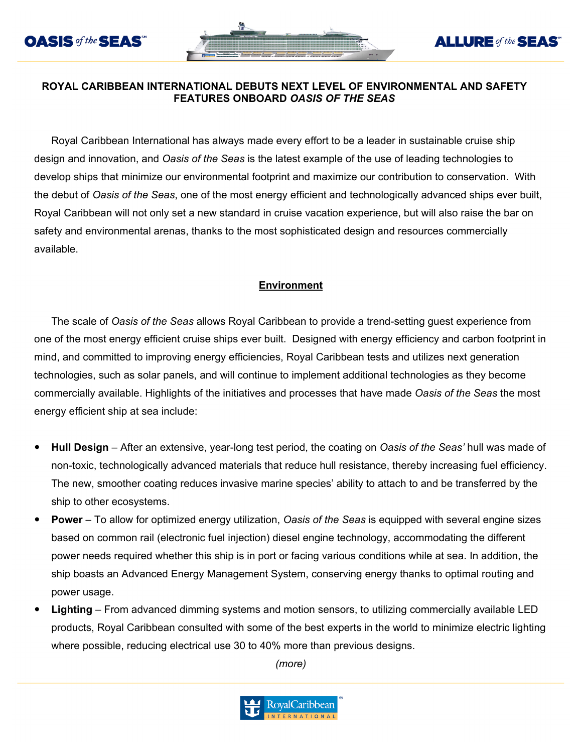



#### **ROYAL CARIBBEAN INTERNATIONAL DEBUTS NEXT LEVEL OF ENVIRONMENTAL AND SAFETY FEATURES ONBOARD** *OASIS OF THE SEAS*

Royal Caribbean International has always made every effort to be a leader in sustainable cruise ship design and innovation, and *Oasis of the Seas* is the latest example of the use of leading technologies to develop ships that minimize our environmental footprint and maximize our contribution to conservation. With the debut of *Oasis of the Seas*, one of the most energy efficient and technologically advanced ships ever built, Royal Caribbean will not only set a new standard in cruise vacation experience, but will also raise the bar on safety and environmental arenas, thanks to the most sophisticated design and resources commercially available.

# **Environment**

The scale of *Oasis of the Seas* allows Royal Caribbean to provide a trend-setting guest experience from one of the most energy efficient cruise ships ever built. Designed with energy efficiency and carbon footprint in mind, and committed to improving energy efficiencies, Royal Caribbean tests and utilizes next generation technologies, such as solar panels, and will continue to implement additional technologies as they become commercially available. Highlights of the initiatives and processes that have made *Oasis of the Seas* the most energy efficient ship at sea include:

- **Hull Design** After an extensive, year-long test period, the coating on *Oasis of the Seas'* hull was made of non-toxic, technologically advanced materials that reduce hull resistance, thereby increasing fuel efficiency. The new, smoother coating reduces invasive marine species' ability to attach to and be transferred by the ship to other ecosystems.
- **Power**  To allow for optimized energy utilization, *Oasis of the Seas* is equipped with several engine sizes based on common rail (electronic fuel injection) diesel engine technology, accommodating the different power needs required whether this ship is in port or facing various conditions while at sea. In addition, the ship boasts an Advanced Energy Management System, conserving energy thanks to optimal routing and power usage.
- **Lighting** From advanced dimming systems and motion sensors, to utilizing commercially available LED products, Royal Caribbean consulted with some of the best experts in the world to minimize electric lighting where possible, reducing electrical use 30 to 40% more than previous designs.

*(more)*

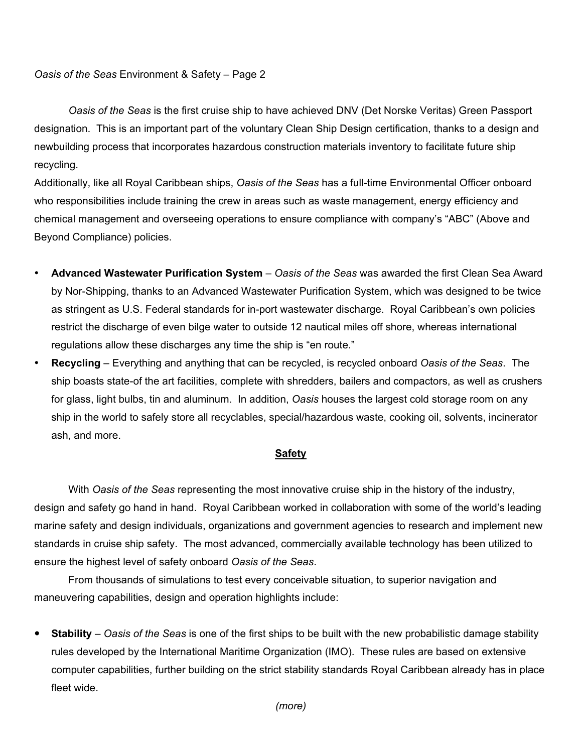*Oasis of the Seas* Environment & Safety – Page 2

*Oasis of the Seas* is the first cruise ship to have achieved DNV (Det Norske Veritas) Green Passport designation. This is an important part of the voluntary Clean Ship Design certification, thanks to a design and newbuilding process that incorporates hazardous construction materials inventory to facilitate future ship recycling.

Additionally, like all Royal Caribbean ships, *Oasis of the Seas* has a full-time Environmental Officer onboard who responsibilities include training the crew in areas such as waste management, energy efficiency and chemical management and overseeing operations to ensure compliance with company's "ABC" (Above and Beyond Compliance) policies.

- **Advanced Wastewater Purification System** *Oasis of the Seas* was awarded the first Clean Sea Award by Nor-Shipping, thanks to an Advanced Wastewater Purification System, which was designed to be twice as stringent as U.S. Federal standards for in-port wastewater discharge. Royal Caribbean's own policies restrict the discharge of even bilge water to outside 12 nautical miles off shore, whereas international regulations allow these discharges any time the ship is "en route."
- **Recycling** Everything and anything that can be recycled, is recycled onboard *Oasis of the Seas*. The ship boasts state-of the art facilities, complete with shredders, bailers and compactors, as well as crushers for glass, light bulbs, tin and aluminum. In addition, *Oasis* houses the largest cold storage room on any ship in the world to safely store all recyclables, special/hazardous waste, cooking oil, solvents, incinerator ash, and more.

## **Safety**

With *Oasis of the Seas* representing the most innovative cruise ship in the history of the industry, design and safety go hand in hand. Royal Caribbean worked in collaboration with some of the world's leading marine safety and design individuals, organizations and government agencies to research and implement new standards in cruise ship safety. The most advanced, commercially available technology has been utilized to ensure the highest level of safety onboard *Oasis of the Seas*.

From thousands of simulations to test every conceivable situation, to superior navigation and maneuvering capabilities, design and operation highlights include:

 **Stability** *– Oasis of the Seas* is one of the first ships to be built with the new probabilistic damage stability rules developed by the International Maritime Organization (IMO). These rules are based on extensive computer capabilities, further building on the strict stability standards Royal Caribbean already has in place fleet wide.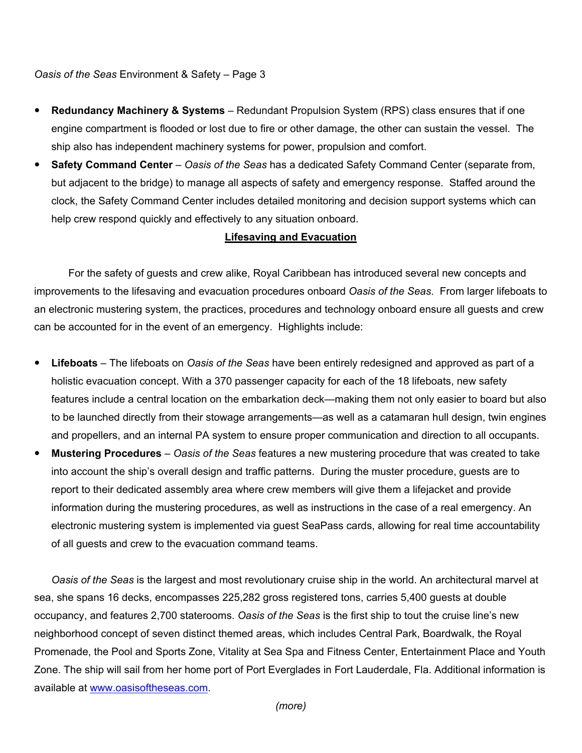*Oasis of the Seas* Environment & Safety – Page 3

- **Redundancy Machinery & Systems** Redundant Propulsion System (RPS) class ensures that if one engine compartment is flooded or lost due to fire or other damage, the other can sustain the vessel. The ship also has independent machinery systems for power, propulsion and comfort.
- **Safety Command Center** *Oasis of the Seas* has a dedicated Safety Command Center (separate from, but adjacent to the bridge) to manage all aspects of safety and emergency response. Staffed around the clock, the Safety Command Center includes detailed monitoring and decision support systems which can help crew respond quickly and effectively to any situation onboard.

## **Lifesaving and Evacuation**

For the safety of guests and crew alike, Royal Caribbean has introduced several new concepts and improvements to the lifesaving and evacuation procedures onboard *Oasis of the Seas*. From larger lifeboats to an electronic mustering system, the practices, procedures and technology onboard ensure all guests and crew can be accounted for in the event of an emergency. Highlights include:

- **Lifeboats** The lifeboats on *Oasis of the Seas* have been entirely redesigned and approved as part of a holistic evacuation concept. With a 370 passenger capacity for each of the 18 lifeboats, new safety features include a central location on the embarkation deck—making them not only easier to board but also to be launched directly from their stowage arrangements—as well as a catamaran hull design, twin engines and propellers, and an internal PA system to ensure proper communication and direction to all occupants.
- **Mustering Procedures** *Oasis of the Seas* features a new mustering procedure that was created to take into account the ship's overall design and traffic patterns. During the muster procedure, guests are to report to their dedicated assembly area where crew members will give them a lifejacket and provide information during the mustering procedures, as well as instructions in the case of a real emergency. An electronic mustering system is implemented via guest SeaPass cards, allowing for real time accountability of all guests and crew to the evacuation command teams.

*Oasis of the Seas* is the largest and most revolutionary cruise ship in the world. An architectural marvel at sea, she spans 16 decks, encompasses 225,282 gross registered tons, carries 5,400 guests at double occupancy, and features 2,700 staterooms. *Oasis of the Seas* is the first ship to tout the cruise line's new neighborhood concept of seven distinct themed areas, which includes Central Park, Boardwalk, the Royal Promenade, the Pool and Sports Zone, Vitality at Sea Spa and Fitness Center, Entertainment Place and Youth Zone. The ship will sail from her home port of Port Everglades in Fort Lauderdale, Fla. Additional information is available at www.oasisoftheseas.com.